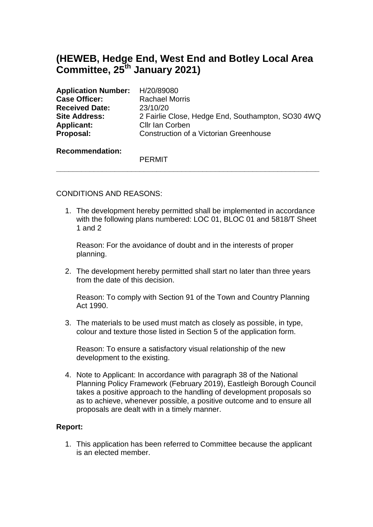# **(HEWEB, Hedge End, West End and Botley Local Area Committee, 25th January 2021)**

| Application Number: H/20/89080 |                                                   |
|--------------------------------|---------------------------------------------------|
| <b>Case Officer:</b>           | <b>Rachael Morris</b>                             |
| <b>Received Date:</b>          | 23/10/20                                          |
| <b>Site Address:</b>           | 2 Fairlie Close, Hedge End, Southampton, SO30 4WQ |
| <b>Applicant:</b>              | Cllr Ian Corben                                   |
| Proposal:                      | Construction of a Victorian Greenhouse            |
|                                |                                                   |

**\_\_\_\_\_\_\_\_\_\_\_\_\_\_\_\_\_\_\_\_\_\_\_\_\_\_\_\_\_\_\_\_\_\_\_\_\_\_\_\_\_\_\_\_\_\_\_\_\_\_\_\_\_\_\_\_\_\_\_\_\_\_\_**

#### **Recommendation:**

PERMIT

## CONDITIONS AND REASONS:

1. The development hereby permitted shall be implemented in accordance with the following plans numbered: LOC 01, BLOC 01 and 5818/T Sheet 1 and 2

Reason: For the avoidance of doubt and in the interests of proper planning.

2. The development hereby permitted shall start no later than three years from the date of this decision.

Reason: To comply with Section 91 of the Town and Country Planning Act 1990.

3. The materials to be used must match as closely as possible, in type, colour and texture those listed in Section 5 of the application form.

Reason: To ensure a satisfactory visual relationship of the new development to the existing.

4. Note to Applicant: In accordance with paragraph 38 of the National Planning Policy Framework (February 2019), Eastleigh Borough Council takes a positive approach to the handling of development proposals so as to achieve, whenever possible, a positive outcome and to ensure all proposals are dealt with in a timely manner.

### **Report:**

1. This application has been referred to Committee because the applicant is an elected member.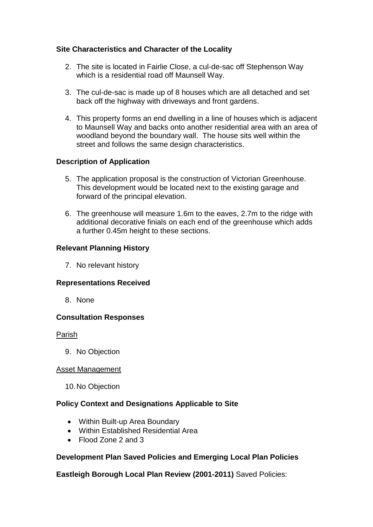# **Site Characteristics and Character of the Locality**

- 2. The site is located in Fairlie Close, a cul-de-sac off Stephenson Way which is a residential road off Maunsell Way.
- 3. The cul-de-sac is made up of 8 houses which are all detached and set back off the highway with driveways and front gardens.
- 4. This property forms an end dwelling in a line of houses which is adjacent to Maunsell Way and backs onto another residential area with an area of woodland beyond the boundary wall. The house sits well within the street and follows the same design characteristics.

## **Description of Application**

- 5. The application proposal is the construction of Victorian Greenhouse. This development would be located next to the existing garage and forward of the principal elevation.
- 6. The greenhouse will measure 1.6m to the eaves, 2.7m to the ridge with additional decorative finials on each end of the greenhouse which adds a further 0.45m height to these sections.

### **Relevant Planning History**

7. No relevant history

### **Representations Received**

8. None

### **Consultation Responses**

#### Parish

9. No Objection

#### Asset Management

10.No Objection

### **Policy Context and Designations Applicable to Site**

- Within Built-up Area Boundary
- Within Established Residential Area
- Flood Zone 2 and 3

### **Development Plan Saved Policies and Emerging Local Plan Policies**

**Eastleigh Borough Local Plan Review (2001-2011)** Saved Policies: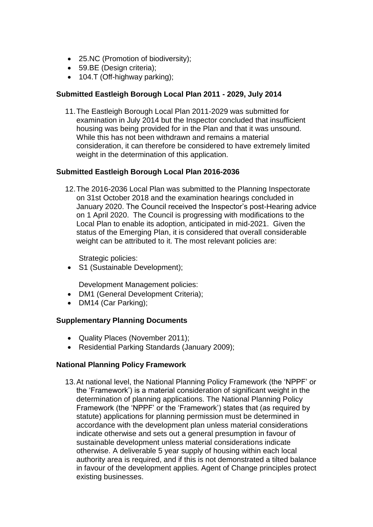- 25.NC (Promotion of biodiversity):
- 59.BE (Design criteria);
- 104.T (Off-highway parking);

## **Submitted Eastleigh Borough Local Plan 2011 - 2029, July 2014**

11.The Eastleigh Borough Local Plan 2011-2029 was submitted for examination in July 2014 but the Inspector concluded that insufficient housing was being provided for in the Plan and that it was unsound. While this has not been withdrawn and remains a material consideration, it can therefore be considered to have extremely limited weight in the determination of this application.

### **Submitted Eastleigh Borough Local Plan 2016-2036**

12.The 2016-2036 Local Plan was submitted to the Planning Inspectorate on 31st October 2018 and the examination hearings concluded in January 2020. The Council received the Inspector's post-Hearing advice on 1 April 2020. The Council is progressing with modifications to the Local Plan to enable its adoption, anticipated in mid-2021. Given the status of the Emerging Plan, it is considered that overall considerable weight can be attributed to it. The most relevant policies are:

Strategic policies:

• S1 (Sustainable Development);

Development Management policies:

- DM1 (General Development Criteria);
- DM14 (Car Parking);

### **Supplementary Planning Documents**

- Quality Places (November 2011);
- Residential Parking Standards (January 2009);

# **National Planning Policy Framework**

13.At national level, the National Planning Policy Framework (the 'NPPF' or the 'Framework') is a material consideration of significant weight in the determination of planning applications. The National Planning Policy Framework (the 'NPPF' or the 'Framework') states that (as required by statute) applications for planning permission must be determined in accordance with the development plan unless material considerations indicate otherwise and sets out a general presumption in favour of sustainable development unless material considerations indicate otherwise. A deliverable 5 year supply of housing within each local authority area is required, and if this is not demonstrated a tilted balance in favour of the development applies. Agent of Change principles protect existing businesses.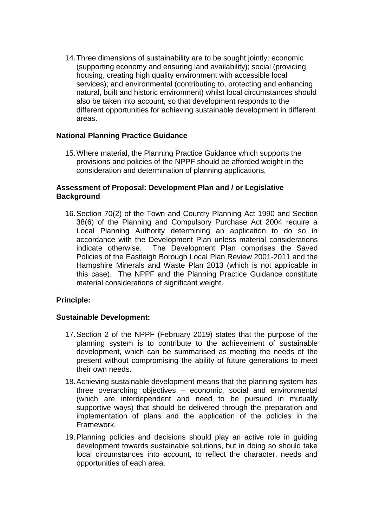14.Three dimensions of sustainability are to be sought jointly: economic (supporting economy and ensuring land availability); social (providing housing, creating high quality environment with accessible local services); and environmental (contributing to, protecting and enhancing natural, built and historic environment) whilst local circumstances should also be taken into account, so that development responds to the different opportunities for achieving sustainable development in different areas.

## **National Planning Practice Guidance**

15.Where material, the Planning Practice Guidance which supports the provisions and policies of the NPPF should be afforded weight in the consideration and determination of planning applications.

## **Assessment of Proposal: Development Plan and / or Legislative Background**

16.Section 70(2) of the Town and Country Planning Act 1990 and Section 38(6) of the Planning and Compulsory Purchase Act 2004 require a Local Planning Authority determining an application to do so in accordance with the Development Plan unless material considerations indicate otherwise. The Development Plan comprises the Saved Policies of the Eastleigh Borough Local Plan Review 2001-2011 and the Hampshire Minerals and Waste Plan 2013 (which is not applicable in this case). The NPPF and the Planning Practice Guidance constitute material considerations of significant weight.

### **Principle:**

### **Sustainable Development:**

- 17.Section 2 of the NPPF (February 2019) states that the purpose of the planning system is to contribute to the achievement of sustainable development, which can be summarised as meeting the needs of the present without compromising the ability of future generations to meet their own needs.
- 18.Achieving sustainable development means that the planning system has three overarching objectives – economic, social and environmental (which are interdependent and need to be pursued in mutually supportive ways) that should be delivered through the preparation and implementation of plans and the application of the policies in the Framework.
- 19.Planning policies and decisions should play an active role in guiding development towards sustainable solutions, but in doing so should take local circumstances into account, to reflect the character, needs and opportunities of each area.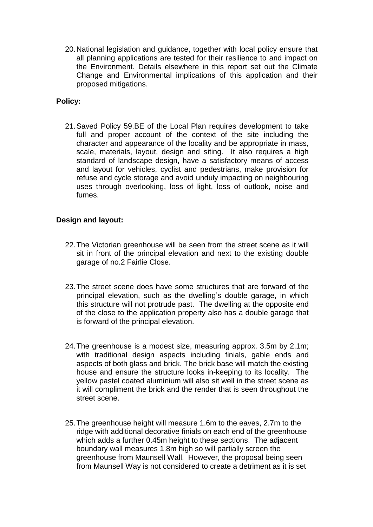20.National legislation and guidance, together with local policy ensure that all planning applications are tested for their resilience to and impact on the Environment. Details elsewhere in this report set out the Climate Change and Environmental implications of this application and their proposed mitigations.

## **Policy:**

21.Saved Policy 59.BE of the Local Plan requires development to take full and proper account of the context of the site including the character and appearance of the locality and be appropriate in mass, scale, materials, layout, design and siting. It also requires a high standard of landscape design, have a satisfactory means of access and layout for vehicles, cyclist and pedestrians, make provision for refuse and cycle storage and avoid unduly impacting on neighbouring uses through overlooking, loss of light, loss of outlook, noise and fumes.

### **Design and layout:**

- 22.The Victorian greenhouse will be seen from the street scene as it will sit in front of the principal elevation and next to the existing double garage of no.2 Fairlie Close.
- 23.The street scene does have some structures that are forward of the principal elevation, such as the dwelling's double garage, in which this structure will not protrude past. The dwelling at the opposite end of the close to the application property also has a double garage that is forward of the principal elevation.
- 24.The greenhouse is a modest size, measuring approx. 3.5m by 2.1m; with traditional design aspects including finials, gable ends and aspects of both glass and brick. The brick base will match the existing house and ensure the structure looks in-keeping to its locality. The yellow pastel coated aluminium will also sit well in the street scene as it will compliment the brick and the render that is seen throughout the street scene.
- 25.The greenhouse height will measure 1.6m to the eaves, 2.7m to the ridge with additional decorative finials on each end of the greenhouse which adds a further 0.45m height to these sections. The adjacent boundary wall measures 1.8m high so will partially screen the greenhouse from Maunsell Wall. However, the proposal being seen from Maunsell Way is not considered to create a detriment as it is set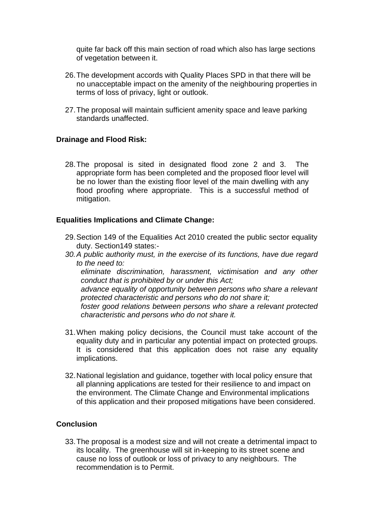quite far back off this main section of road which also has large sections of vegetation between it.

- 26.The development accords with Quality Places SPD in that there will be no unacceptable impact on the amenity of the neighbouring properties in terms of loss of privacy, light or outlook.
- 27.The proposal will maintain sufficient amenity space and leave parking standards unaffected.

## **Drainage and Flood Risk:**

28.The proposal is sited in designated flood zone 2 and 3. The appropriate form has been completed and the proposed floor level will be no lower than the existing floor level of the main dwelling with any flood proofing where appropriate. This is a successful method of mitigation.

### **Equalities Implications and Climate Change:**

- 29.Section 149 of the Equalities Act 2010 created the public sector equality duty. Section149 states:-
- *30.A public authority must, in the exercise of its functions, have due regard to the need to: eliminate discrimination, harassment, victimisation and any other*

*conduct that is prohibited by or under this Act; advance equality of opportunity between persons who share a relevant protected characteristic and persons who do not share it; foster good relations between persons who share a relevant protected* 

*characteristic and persons who do not share it.*

- 31.When making policy decisions, the Council must take account of the equality duty and in particular any potential impact on protected groups. It is considered that this application does not raise any equality implications.
- 32.National legislation and guidance, together with local policy ensure that all planning applications are tested for their resilience to and impact on the environment. The Climate Change and Environmental implications of this application and their proposed mitigations have been considered.

### **Conclusion**

33.The proposal is a modest size and will not create a detrimental impact to its locality. The greenhouse will sit in-keeping to its street scene and cause no loss of outlook or loss of privacy to any neighbours. The recommendation is to Permit.